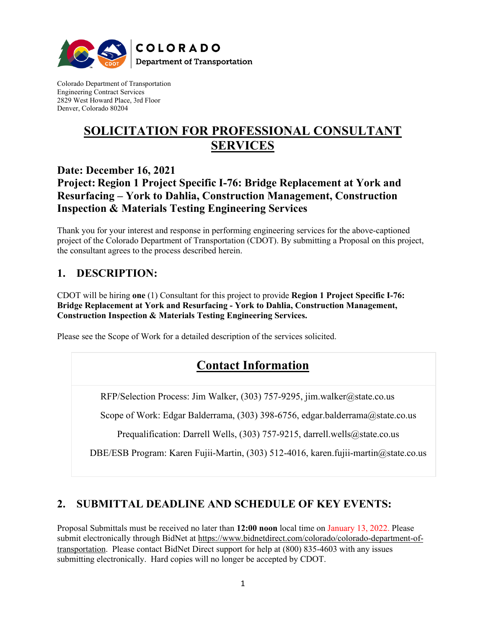

Colorado Department of Transportation Engineering Contract Services 2829 West Howard Place, 3rd Floor Denver, Colorado 80204

# **SOLICITATION FOR PROFESSIONAL CONSULTANT SERVICES**

## **Date: December 16, 2021**

# **Project: Region 1 Project Specific I-76: Bridge Replacement at York and Resurfacing – York to Dahlia, Construction Management, Construction Inspection & Materials Testing Engineering Services**

Thank you for your interest and response in performing engineering services for the above-captioned project of the Colorado Department of Transportation (CDOT). By submitting a Proposal on this project, the consultant agrees to the process described herein.

# **1. DESCRIPTION:**

CDOT will be hiring **one** (1) Consultant for this project to provide **Region 1 Project Specific I-76: Bridge Replacement at York and Resurfacing - York to Dahlia, Construction Management, Construction Inspection & Materials Testing Engineering Services.**

Please see the Scope of Work for a detailed description of the services solicited.

# **Contact Information**

RFP/Selection Process: Jim Walker, (303) 757-9295, jim.walker@state.co.us

Scope of Work: Edgar Balderrama, (303) 398-6756, edgar.balderrama@state.co.us

Prequalification: Darrell Wells, (303) 757-9215, darrell.wells@state.co.us

DBE/ESB Program: Karen Fujii-Martin, (303) 512-4016, karen.fujii-martin@state.co.us

# **2. SUBMITTAL DEADLINE AND SCHEDULE OF KEY EVENTS:**

Proposal Submittals must be received no later than **12:00 noon** local time on January 13, 2022. Please submit electronically through BidNet at [https://www.bidnetdirect.com/colorado/colorado-department-of](https://www.bidnetdirect.com/colorado/colorado-department-of-transportation)[transportation.](https://www.bidnetdirect.com/colorado/colorado-department-of-transportation) Please contact BidNet Direct support for help at (800) 835-4603 with any issues submitting electronically. Hard copies will no longer be accepted by CDOT.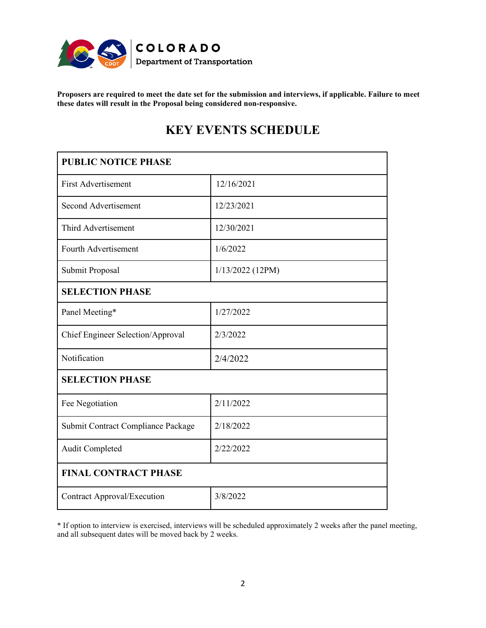

**Proposers are required to meet the date set for the submission and interviews, if applicable. Failure to meet these dates will result in the Proposal being considered non-responsive.**

| <b>PUBLIC NOTICE PHASE</b>         |                    |
|------------------------------------|--------------------|
| <b>First Advertisement</b>         | 12/16/2021         |
| Second Advertisement               | 12/23/2021         |
| Third Advertisement                | 12/30/2021         |
| Fourth Advertisement               | 1/6/2022           |
| Submit Proposal                    | $1/13/2022$ (12PM) |
| <b>SELECTION PHASE</b>             |                    |
| Panel Meeting*                     | 1/27/2022          |
| Chief Engineer Selection/Approval  | 2/3/2022           |
| Notification                       | 2/4/2022           |
| <b>SELECTION PHASE</b>             |                    |
| Fee Negotiation                    | 2/11/2022          |
| Submit Contract Compliance Package | 2/18/2022          |
| Audit Completed                    | 2/22/2022          |
| <b>FINAL CONTRACT PHASE</b>        |                    |
| <b>Contract Approval/Execution</b> | 3/8/2022           |

# **KEY EVENTS SCHEDULE**

\* If option to interview is exercised, interviews will be scheduled approximately 2 weeks after the panel meeting, and all subsequent dates will be moved back by 2 weeks.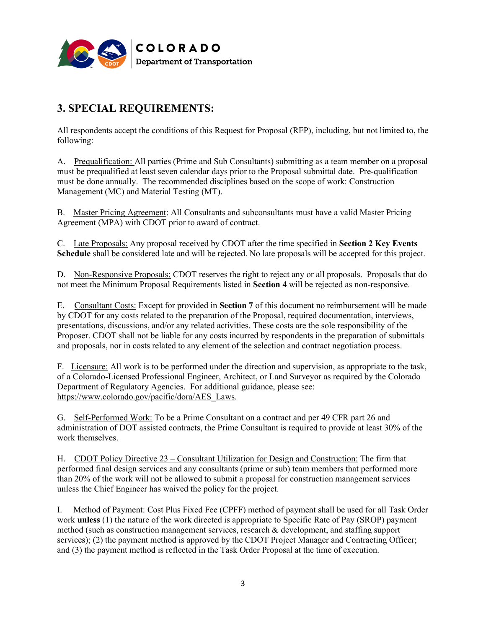

# **3. SPECIAL REQUIREMENTS:**

All respondents accept the conditions of this Request for Proposal (RFP), including, but not limited to, the following:

A. Prequalification: All parties (Prime and Sub Consultants) submitting as a team member on a proposal must be prequalified at least seven calendar days prior to the Proposal submittal date. Pre-qualification must be done annually. The recommended disciplines based on the scope of work: Construction Management (MC) and Material Testing (MT).

B. Master Pricing Agreement: All Consultants and subconsultants must have a valid Master Pricing Agreement (MPA) with CDOT prior to award of contract.

C. Late Proposals: Any proposal received by CDOT after the time specified in **Section 2 Key Events Schedule** shall be considered late and will be rejected. No late proposals will be accepted for this project.

D. Non-Responsive Proposals: CDOT reserves the right to reject any or all proposals. Proposals that do not meet the Minimum Proposal Requirements listed in **Section 4** will be rejected as non-responsive.

E. Consultant Costs: Except for provided in **Section 7** of this document no reimbursement will be made by CDOT for any costs related to the preparation of the Proposal, required documentation, interviews, presentations, discussions, and/or any related activities. These costs are the sole responsibility of the Proposer. CDOT shall not be liable for any costs incurred by respondents in the preparation of submittals and proposals, nor in costs related to any element of the selection and contract negotiation process.

F. Licensure: All work is to be performed under the direction and supervision, as appropriate to the task, of a Colorado-Licensed Professional Engineer, Architect, or Land Surveyor as required by the Colorado Department of Regulatory Agencies. For additional guidance, please see: [https://www.colorado.gov/pacific/dora/AES\\_Laws.](https://www.colorado.gov/pacific/dora/AES_Laws)

G. Self-Performed Work: To be a Prime Consultant on a contract and per 49 CFR part 26 and administration of DOT assisted contracts, the Prime Consultant is required to provide at least 30% of the work themselves.

H. CDOT Policy Directive 23 – Consultant Utilization for Design and Construction: The firm that performed final design services and any consultants (prime or sub) team members that performed more than 20% of the work will not be allowed to submit a proposal for construction management services unless the Chief Engineer has waived the policy for the project.

I. Method of Payment: Cost Plus Fixed Fee (CPFF) method of payment shall be used for all Task Order work **unless** (1) the nature of the work directed is appropriate to Specific Rate of Pay (SROP) payment method (such as construction management services, research & development, and staffing support services); (2) the payment method is approved by the CDOT Project Manager and Contracting Officer; and (3) the payment method is reflected in the Task Order Proposal at the time of execution.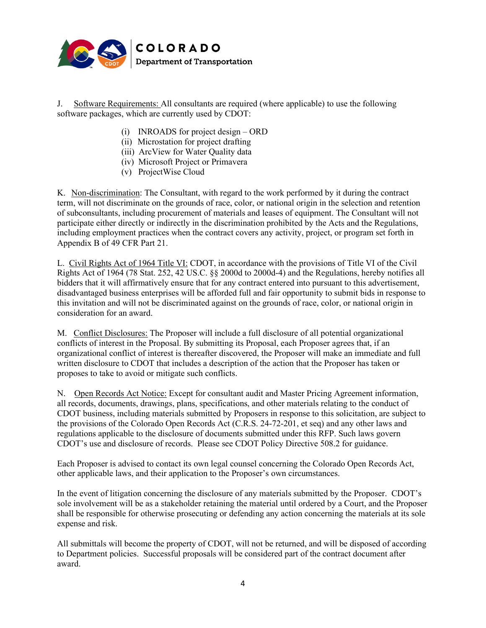

J. Software Requirements: All consultants are required (where applicable) to use the following software packages, which are currently used by CDOT:

- (i) INROADS for project design ORD
- (ii) Microstation for project drafting
- (iii) ArcView for Water Quality data
- (iv) Microsoft Project or Primavera
- (v) ProjectWise Cloud

K. Non-discrimination: The Consultant, with regard to the work performed by it during the contract term, will not discriminate on the grounds of race, color, or national origin in the selection and retention of subconsultants, including procurement of materials and leases of equipment. The Consultant will not participate either directly or indirectly in the discrimination prohibited by the Acts and the Regulations, including employment practices when the contract covers any activity, project, or program set forth in Appendix B of 49 CFR Part 21.

L. Civil Rights Act of 1964 Title VI: CDOT, in accordance with the provisions of Title VI of the Civil Rights Act of 1964 (78 Stat. 252, 42 US.C. §§ 2000d to 2000d-4) and the Regulations, hereby notifies all bidders that it will affirmatively ensure that for any contract entered into pursuant to this advertisement, disadvantaged business enterprises will be afforded full and fair opportunity to submit bids in response to this invitation and will not be discriminated against on the grounds of race, color, or national origin in consideration for an award.

M. Conflict Disclosures: The Proposer will include a full disclosure of all potential organizational conflicts of interest in the Proposal. By submitting its Proposal, each Proposer agrees that, if an organizational conflict of interest is thereafter discovered, the Proposer will make an immediate and full written disclosure to CDOT that includes a description of the action that the Proposer has taken or proposes to take to avoid or mitigate such conflicts.

N. Open Records Act Notice: Except for consultant audit and Master Pricing Agreement information, all records, documents, drawings, plans, specifications, and other materials relating to the conduct of CDOT business, including materials submitted by Proposers in response to this solicitation, are subject to the provisions of the Colorado Open Records Act (C.R.S. 24-72-201, et seq) and any other laws and regulations applicable to the disclosure of documents submitted under this RFP. Such laws govern CDOT's use and disclosure of records. Please see CDOT Policy Directive 508.2 for guidance.

Each Proposer is advised to contact its own legal counsel concerning the Colorado Open Records Act, other applicable laws, and their application to the Proposer's own circumstances.

In the event of litigation concerning the disclosure of any materials submitted by the Proposer. CDOT's sole involvement will be as a stakeholder retaining the material until ordered by a Court, and the Proposer shall be responsible for otherwise prosecuting or defending any action concerning the materials at its sole expense and risk.

All submittals will become the property of CDOT, will not be returned, and will be disposed of according to Department policies. Successful proposals will be considered part of the contract document after award.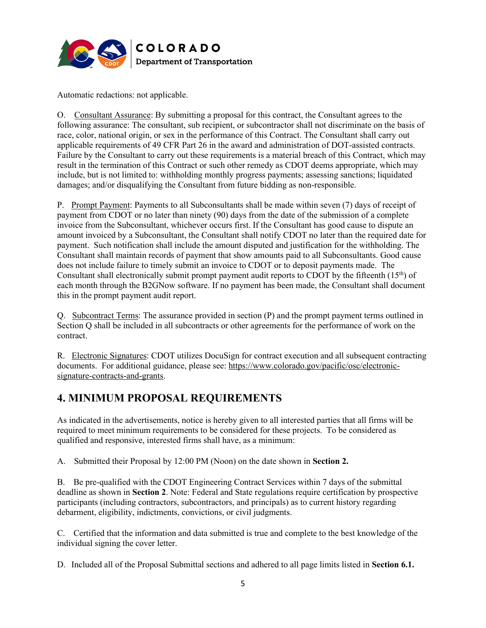

Automatic redactions: not applicable.

O. Consultant Assurance: By submitting a proposal for this contract, the Consultant agrees to the following assurance: The consultant, sub recipient, or subcontractor shall not discriminate on the basis of race, color, national origin, or sex in the performance of this Contract. The Consultant shall carry out applicable requirements of 49 CFR Part 26 in the award and administration of DOT-assisted contracts. Failure by the Consultant to carry out these requirements is a material breach of this Contract, which may result in the termination of this Contract or such other remedy as CDOT deems appropriate, which may include, but is not limited to: withholding monthly progress payments; assessing sanctions; liquidated damages; and/or disqualifying the Consultant from future bidding as non-responsible.

P. Prompt Payment: Payments to all Subconsultants shall be made within seven (7) days of receipt of payment from CDOT or no later than ninety (90) days from the date of the submission of a complete invoice from the Subconsultant, whichever occurs first. If the Consultant has good cause to dispute an amount invoiced by a Subconsultant, the Consultant shall notify CDOT no later than the required date for payment. Such notification shall include the amount disputed and justification for the withholding. The Consultant shall maintain records of payment that show amounts paid to all Subconsultants. Good cause does not include failure to timely submit an invoice to CDOT or to deposit payments made. The Consultant shall electronically submit prompt payment audit reports to CDOT by the fifteenth  $(15<sup>th</sup>)$  of each month through the B2GNow software. If no payment has been made, the Consultant shall document this in the prompt payment audit report.

Q. Subcontract Terms: The assurance provided in section (P) and the prompt payment terms outlined in Section Q shall be included in all subcontracts or other agreements for the performance of work on the contract.

R. Electronic Signatures: CDOT utilizes DocuSign for contract execution and all subsequent contracting documents. For additional guidance, please see: [https://www.colorado.gov/pacific/osc/electronic](https://www.colorado.gov/pacific/osc/electronic-signature-contracts-and-grants)[signature-contracts-and-grants.](https://www.colorado.gov/pacific/osc/electronic-signature-contracts-and-grants)

# **4. MINIMUM PROPOSAL REQUIREMENTS**

As indicated in the advertisements, notice is hereby given to all interested parties that all firms will be required to meet minimum requirements to be considered for these projects. To be considered as qualified and responsive, interested firms shall have, as a minimum:

A. Submitted their Proposal by 12:00 PM (Noon) on the date shown in **Section 2.**

B. Be pre-qualified with the CDOT Engineering Contract Services within 7 days of the submittal deadline as shown in **Section 2**. Note: Federal and State regulations require certification by prospective participants (including contractors, subcontractors, and principals) as to current history regarding debarment, eligibility, indictments, convictions, or civil judgments.

C. Certified that the information and data submitted is true and complete to the best knowledge of the individual signing the cover letter.

D. Included all of the Proposal Submittal sections and adhered to all page limits listed in **Section 6.1.**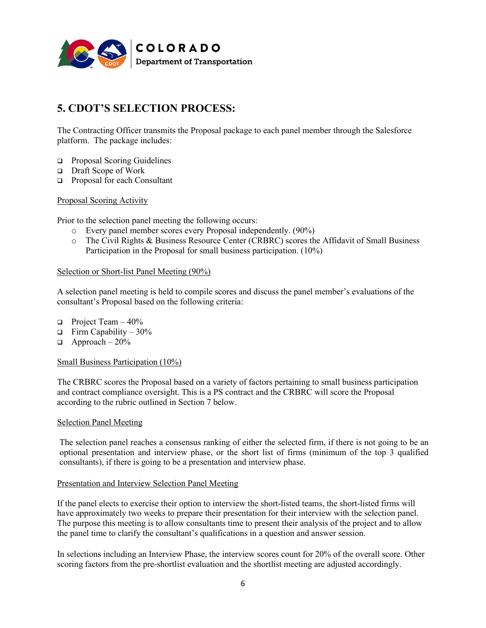

# **5. CDOT'S SELECTION PROCESS:**

The Contracting Officer transmits the Proposal package to each panel member through the Salesforce platform. The package includes:

- Proposal Scoring Guidelines
- □ Draft Scope of Work
- Proposal for each Consultant

Proposal Scoring Activity

Prior to the selection panel meeting the following occurs:

- o Every panel member scores every Proposal independently. (90%)
- o The Civil Rights & Business Resource Center (CRBRC) scores the Affidavit of Small Business Participation in the Proposal for small business participation. (10%)

#### Selection or Short-list Panel Meeting (90%)

A selection panel meeting is held to compile scores and discuss the panel member's evaluations of the consultant's Proposal based on the following criteria:

- **Project Team 40%**
- $\Box$  Firm Capability 30%
- $\Box$  Approach 20%

#### Small Business Participation (10%)

The CRBRC scores the Proposal based on a variety of factors pertaining to small business participation and contract compliance oversight. This is a PS contract and the CRBRC will score the Proposal according to the rubric outlined in Section 7 below.

#### Selection Panel Meeting

The selection panel reaches a consensus ranking of either the selected firm, if there is not going to be an optional presentation and interview phase, or the short list of firms (minimum of the top 3 qualified consultants), if there is going to be a presentation and interview phase.

#### Presentation and Interview Selection Panel Meeting

If the panel elects to exercise their option to interview the short-listed teams, the short-listed firms will have approximately two weeks to prepare their presentation for their interview with the selection panel. The purpose this meeting is to allow consultants time to present their analysis of the project and to allow the panel time to clarify the consultant's qualifications in a question and answer session.

In selections including an Interview Phase, the interview scores count for 20% of the overall score. Other scoring factors from the pre-shortlist evaluation and the shortlist meeting are adjusted accordingly.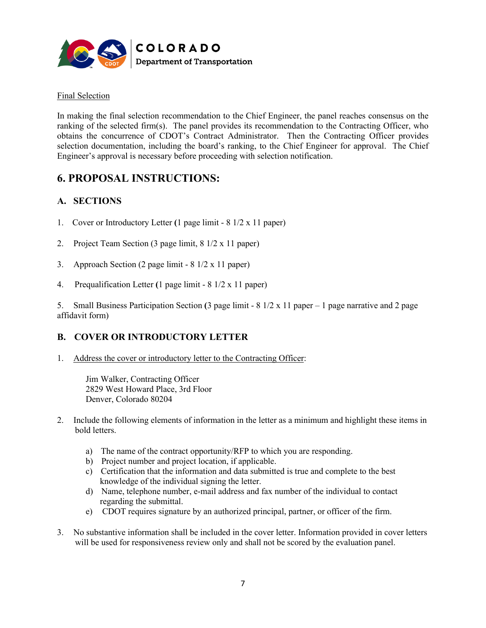

### Final Selection

In making the final selection recommendation to the Chief Engineer, the panel reaches consensus on the ranking of the selected firm(s). The panel provides its recommendation to the Contracting Officer, who obtains the concurrence of CDOT's Contract Administrator. Then the Contracting Officer provides selection documentation, including the board's ranking, to the Chief Engineer for approval. The Chief Engineer's approval is necessary before proceeding with selection notification.

## **6. PROPOSAL INSTRUCTIONS:**

### **A. SECTIONS**

- 1. Cover or Introductory Letter **(**1 page limit 8 1/2 x 11 paper)
- 2. Project Team Section (3 page limit, 8 1/2 x 11 paper)
- 3. Approach Section (2 page limit 8 1/2 x 11 paper)
- 4. Prequalification Letter **(**1 page limit 8 1/2 x 11 paper)

5. Small Business Participation Section **(**3 page limit - 8 1/2 x 11 paper – 1 page narrative and 2 page affidavit form)

## **B. COVER OR INTRODUCTORY LETTER**

1. Address the cover or introductory letter to the Contracting Officer:

Jim Walker, Contracting Officer 2829 West Howard Place, 3rd Floor Denver, Colorado 80204

- 2. Include the following elements of information in the letter as a minimum and highlight these items in bold letters.
	- a) The name of the contract opportunity/RFP to which you are responding.
	- b) Project number and project location, if applicable.
	- c) Certification that the information and data submitted is true and complete to the best knowledge of the individual signing the letter.
	- d) Name, telephone number, e-mail address and fax number of the individual to contact regarding the submittal.
	- e) CDOT requires signature by an authorized principal, partner, or officer of the firm.
- 3. No substantive information shall be included in the cover letter. Information provided in cover letters will be used for responsiveness review only and shall not be scored by the evaluation panel.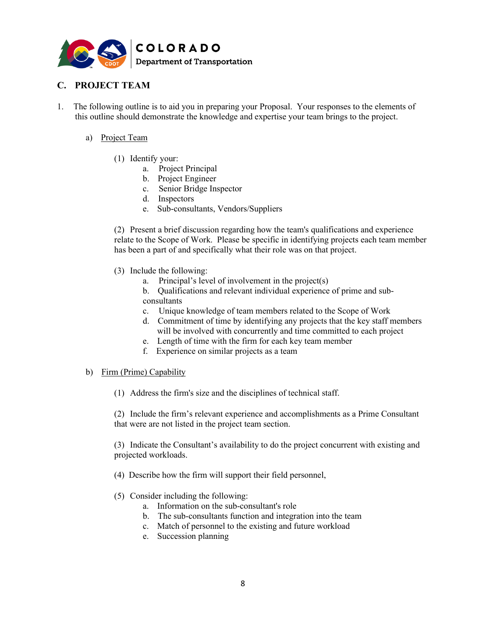

## **C. PROJECT TEAM**

- 1. The following outline is to aid you in preparing your Proposal. Your responses to the elements of this outline should demonstrate the knowledge and expertise your team brings to the project.
	- a) Project Team
		- (1) Identify your:
			- a. Project Principal
			- b. Project Engineer
			- c. Senior Bridge Inspector
			- d. Inspectors
			- e. Sub-consultants, Vendors/Suppliers

(2) Present a brief discussion regarding how the team's qualifications and experience relate to the Scope of Work. Please be specific in identifying projects each team member has been a part of and specifically what their role was on that project.

- (3) Include the following:
	- a. Principal's level of involvement in the project(s)
	- b. Qualifications and relevant individual experience of prime and subconsultants
	- c. Unique knowledge of team members related to the Scope of Work
	- d. Commitment of time by identifying any projects that the key staff members will be involved with concurrently and time committed to each project
	- e. Length of time with the firm for each key team member
	- f. Experience on similar projects as a team
- b) Firm (Prime) Capability
	- (1) Address the firm's size and the disciplines of technical staff.

(2) Include the firm's relevant experience and accomplishments as a Prime Consultant that were are not listed in the project team section.

(3) Indicate the Consultant's availability to do the project concurrent with existing and projected workloads.

- (4) Describe how the firm will support their field personnel,
- (5) Consider including the following:
	- a. Information on the sub-consultant's role
	- b. The sub-consultants function and integration into the team
	- c. Match of personnel to the existing and future workload
	- e. Succession planning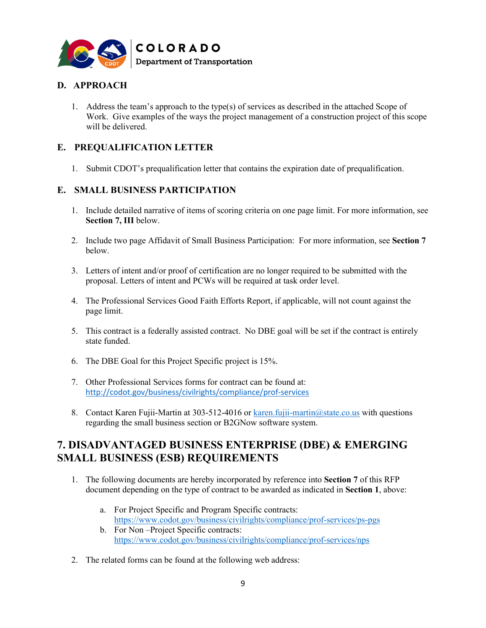

## **D. APPROACH**

1. Address the team's approach to the type(s) of services as described in the attached Scope of Work. Give examples of the ways the project management of a construction project of this scope will be delivered.

### **E. PREQUALIFICATION LETTER**

1. Submit CDOT's prequalification letter that contains the expiration date of prequalification.

### **E. SMALL BUSINESS PARTICIPATION**

- 1. Include detailed narrative of items of scoring criteria on one page limit. For more information, see **Section 7, III** below.
- 2. Include two page Affidavit of Small Business Participation: For more information, see **Section 7** below.
- 3. Letters of intent and/or proof of certification are no longer required to be submitted with the proposal. Letters of intent and PCWs will be required at task order level.
- 4. The Professional Services Good Faith Efforts Report, if applicable, will not count against the page limit.
- 5. This contract is a federally assisted contract. No DBE goal will be set if the contract is entirely state funded.
- 6. The DBE Goal for this Project Specific project is 15%.
- 7. Other Professional Services forms for contract can be found at: <http://codot.gov/business/civilrights/compliance/prof-services>
- 8. Contact Karen Fujii-Martin at 303-512-4016 or [karen.fujii-martin@state.co.us](mailto:karen.fujii-martin@state.co.us) with questions regarding the small business section or B2GNow software system.

## **7. DISADVANTAGED BUSINESS ENTERPRISE (DBE) & EMERGING SMALL BUSINESS (ESB) REQUIREMENTS**

- 1. The following documents are hereby incorporated by reference into **Section 7** of this RFP document depending on the type of contract to be awarded as indicated in **Section 1**, above:
	- a. For Project Specific and Program Specific contracts: <https://www.codot.gov/business/civilrights/compliance/prof-services/ps-pgs>
	- b. For Non –Project Specific contracts: <https://www.codot.gov/business/civilrights/compliance/prof-services/nps>
- 2. The related forms can be found at the following web address: